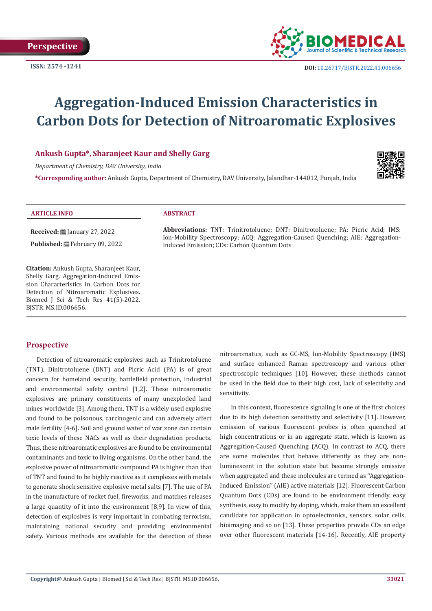

**ISSN:** 2574 -1241 **DOI:** [10.26717/BJSTR.2022.41.006656](https://dx.doi.org/10.26717/BJSTR.2022.41.006656)

# **Aggregation-Induced Emission Characteristics in Carbon Dots for Detection of Nitroaromatic Explosives**

# **Ankush Gupta\*, Sharanjeet Kaur and Shelly Garg**

*Department of Chemistry, DAV University, India*

**\*Corresponding author:** Ankush Gupta, Department of Chemistry, DAV University, Jalandhar-144012, Punjab, India



#### **ARTICLE INFO ABSTRACT**

**Received:** ■ January 27, 2022

Published: **巴**February 09, 2022

**Citation:** Ankush Gupta, Sharanjeet Kaur, Shelly Garg. Aggregation-Induced Emission Characteristics in Carbon Dots for Detection of Nitroaromatic Explosives. Biomed J Sci & Tech Res 41(5)-2022. BJSTR. MS.ID.006656.

**Abbreviations:** TNT: Trinitrotoluene; DNT: Dinitrotoluene; PA: Picric Acid; IMS: Ion-Mobility Spectroscopy; ACQ: Aggregation-Caused Quenching; AIE: Aggregation-Induced Emission; CDs: Carbon Quantum Dots

# **Prospective**

Detection of nitroaromatic explosives such as Trinitrotoluene (TNT), Dinitrotoluene (DNT) and Picric Acid (PA) is of great concern for homeland security, battlefield protection, industrial and environmental safety control [1,2]. These nitroaromatic explosives are primary constituents of many unexploded land mines worldwide [3]. Among them, TNT is a widely used explosive and found to be poisonous, carcinogenic and can adversely affect male fertility [4-6]. Soil and ground water of war zone can contain toxic levels of these NACs as well as their degradation products. Thus, these nitroaromatic explosives are found to be environmental contaminants and toxic to living organisms. On the other hand, the explosive power of nitroaromatic compound PA is higher than that of TNT and found to be highly reactive as it complexes with metals to generate shock sensitive explosive metal salts [7]. The use of PA in the manufacture of rocket fuel, fireworks, and matches releases a large quantity of it into the environment [8,9]. In view of this, detection of explosives is very important in combating terrorism, maintaining national security and providing environmental safety. Various methods are available for the detection of these

nitroaromatics, such as GC-MS, Ion-Mobility Spectroscopy (IMS) and surface enhanced Raman spectroscopy and various other spectroscopic techniques [10]. However, these methods cannot be used in the field due to their high cost, lack of selectivity and sensitivity.

In this context, fluorescence signaling is one of the first choices due to its high detection sensitivity and selectivity [11]. However, emission of various fluorescent probes is often quenched at high concentrations or in an aggregate state, which is known as Aggregation-Caused Quenching (ACQ). In contrast to ACQ, there are some molecules that behave differently as they are nonluminescent in the solution state but become strongly emissive when aggregated and these molecules are termed as ''Aggregation-Induced Emission'' (AIE) active materials [12]. Fluorescent Carbon Quantum Dots (CDs) are found to be environment friendly, easy synthesis, easy to modify by doping, which, make them an excellent candidate for application in optoelectronics, sensors, solar cells, bioimaging and so on [13]. These properties provide CDs an edge over other fluorescent materials [14-16]. Recently, AIE property